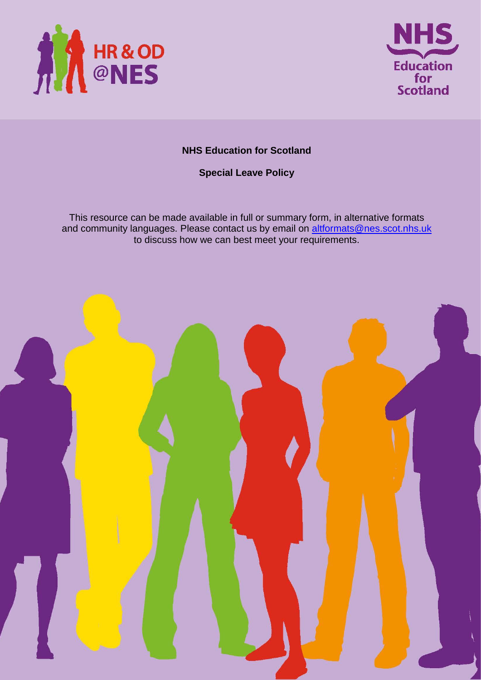



### **NHS Education for Scotland**

**Special Leave Policy**

This resource can be made available in full or summary form, in alternative formats and community languages. Please contact us by email on **altformats@nes.scot.nhs.uk** to discuss how we can best meet your requirements.

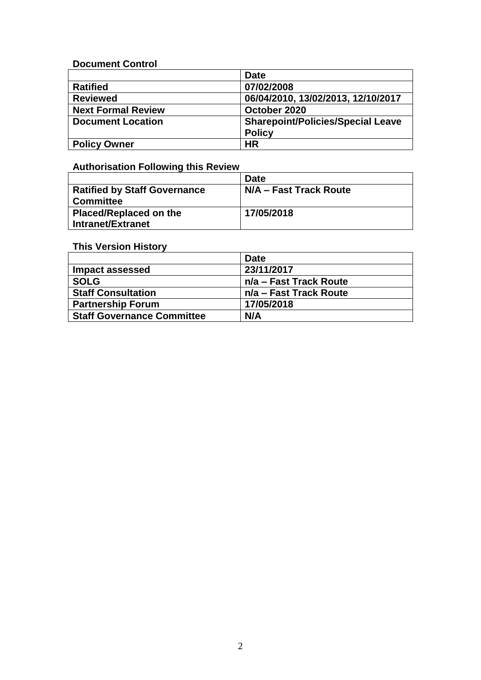### **Document Control**

|                           | <b>Date</b>                              |
|---------------------------|------------------------------------------|
| <b>Ratified</b>           | 07/02/2008                               |
| <b>Reviewed</b>           | 06/04/2010, 13/02/2013, 12/10/2017       |
| <b>Next Formal Review</b> | October 2020                             |
| <b>Document Location</b>  | <b>Sharepoint/Policies/Special Leave</b> |
|                           | <b>Policy</b>                            |
| <b>Policy Owner</b>       | <b>HR</b>                                |

# **Authorisation Following this Review**

|                                     | <b>Date</b>            |
|-------------------------------------|------------------------|
| <b>Ratified by Staff Governance</b> | N/A – Fast Track Route |
| <b>Committee</b>                    |                        |
| Placed/Replaced on the              | 17/05/2018             |
| Intranet/Extranet                   |                        |

# **This Version History**

|                                   | <b>Date</b>            |
|-----------------------------------|------------------------|
| Impact assessed                   | 23/11/2017             |
| <b>SOLG</b>                       | n/a – Fast Track Route |
| <b>Staff Consultation</b>         | n/a – Fast Track Route |
| <b>Partnership Forum</b>          | 17/05/2018             |
| <b>Staff Governance Committee</b> | N/A                    |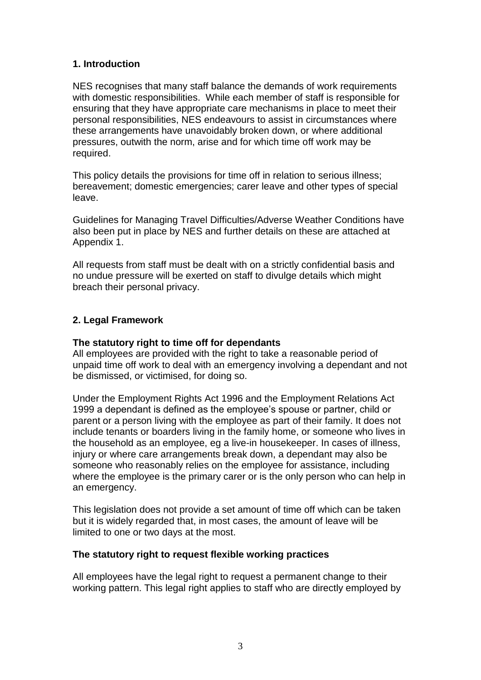### **1. Introduction**

NES recognises that many staff balance the demands of work requirements with domestic responsibilities. While each member of staff is responsible for ensuring that they have appropriate care mechanisms in place to meet their personal responsibilities, NES endeavours to assist in circumstances where these arrangements have unavoidably broken down, or where additional pressures, outwith the norm, arise and for which time off work may be required.

This policy details the provisions for time off in relation to serious illness; bereavement; domestic emergencies; carer leave and other types of special leave.

Guidelines for Managing Travel Difficulties/Adverse Weather Conditions have also been put in place by NES and further details on these are attached at Appendix 1.

All requests from staff must be dealt with on a strictly confidential basis and no undue pressure will be exerted on staff to divulge details which might breach their personal privacy.

### **2. Legal Framework**

#### **The statutory right to time off for dependants**

All employees are provided with the right to take a reasonable period of unpaid time off work to deal with an emergency involving a dependant and not be dismissed, or victimised, for doing so.

Under the Employment Rights Act 1996 and the Employment Relations Act 1999 a dependant is defined as the employee's spouse or partner, child or parent or a person living with the employee as part of their family. It does not include tenants or boarders living in the family home, or someone who lives in the household as an employee, eg a live-in housekeeper. In cases of illness, injury or where care arrangements break down, a dependant may also be someone who reasonably relies on the employee for assistance, including where the employee is the primary carer or is the only person who can help in an emergency.

This legislation does not provide a set amount of time off which can be taken but it is widely regarded that, in most cases, the amount of leave will be limited to one or two days at the most.

#### **The statutory right to request flexible working practices**

All employees have the legal right to request a permanent change to their working pattern. This legal right applies to staff who are directly employed by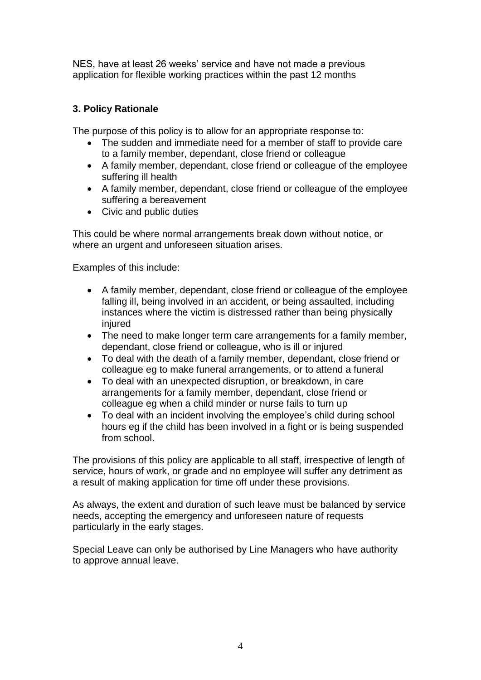NES, have at least 26 weeks' service and have not made a previous application for flexible working practices within the past 12 months

# **3. Policy Rationale**

The purpose of this policy is to allow for an appropriate response to:

- The sudden and immediate need for a member of staff to provide care to a family member, dependant, close friend or colleague
- A family member, dependant, close friend or colleague of the employee suffering ill health
- A family member, dependant, close friend or colleague of the employee suffering a bereavement
- Civic and public duties

This could be where normal arrangements break down without notice, or where an urgent and unforeseen situation arises.

Examples of this include:

- A family member, dependant, close friend or colleague of the employee falling ill, being involved in an accident, or being assaulted, including instances where the victim is distressed rather than being physically injured
- The need to make longer term care arrangements for a family member, dependant, close friend or colleague, who is ill or injured
- To deal with the death of a family member, dependant, close friend or colleague eg to make funeral arrangements, or to attend a funeral
- To deal with an unexpected disruption, or breakdown, in care arrangements for a family member, dependant, close friend or colleague eg when a child minder or nurse fails to turn up
- To deal with an incident involving the employee's child during school hours eg if the child has been involved in a fight or is being suspended from school.

The provisions of this policy are applicable to all staff, irrespective of length of service, hours of work, or grade and no employee will suffer any detriment as a result of making application for time off under these provisions.

As always, the extent and duration of such leave must be balanced by service needs, accepting the emergency and unforeseen nature of requests particularly in the early stages.

Special Leave can only be authorised by Line Managers who have authority to approve annual leave.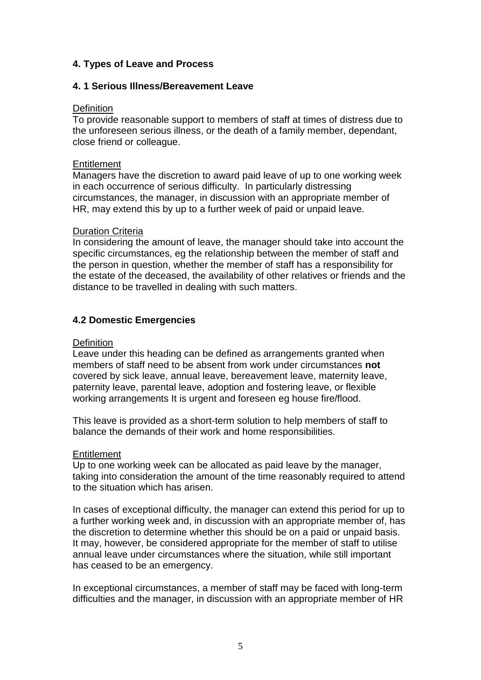### **4. Types of Leave and Process**

#### **4. 1 Serious Illness/Bereavement Leave**

#### **Definition**

To provide reasonable support to members of staff at times of distress due to the unforeseen serious illness, or the death of a family member, dependant, close friend or colleague.

#### **Entitlement**

Managers have the discretion to award paid leave of up to one working week in each occurrence of serious difficulty. In particularly distressing circumstances, the manager, in discussion with an appropriate member of HR, may extend this by up to a further week of paid or unpaid leave.

#### Duration Criteria

In considering the amount of leave, the manager should take into account the specific circumstances, eg the relationship between the member of staff and the person in question, whether the member of staff has a responsibility for the estate of the deceased, the availability of other relatives or friends and the distance to be travelled in dealing with such matters.

### **4.2 Domestic Emergencies**

#### **Definition**

Leave under this heading can be defined as arrangements granted when members of staff need to be absent from work under circumstances **not** covered by sick leave, annual leave, bereavement leave, maternity leave, paternity leave, parental leave, adoption and fostering leave, or flexible working arrangements It is urgent and foreseen eg house fire/flood.

This leave is provided as a short-term solution to help members of staff to balance the demands of their work and home responsibilities.

#### **Entitlement**

Up to one working week can be allocated as paid leave by the manager, taking into consideration the amount of the time reasonably required to attend to the situation which has arisen.

In cases of exceptional difficulty, the manager can extend this period for up to a further working week and, in discussion with an appropriate member of, has the discretion to determine whether this should be on a paid or unpaid basis. It may, however, be considered appropriate for the member of staff to utilise annual leave under circumstances where the situation, while still important has ceased to be an emergency.

In exceptional circumstances, a member of staff may be faced with long-term difficulties and the manager, in discussion with an appropriate member of HR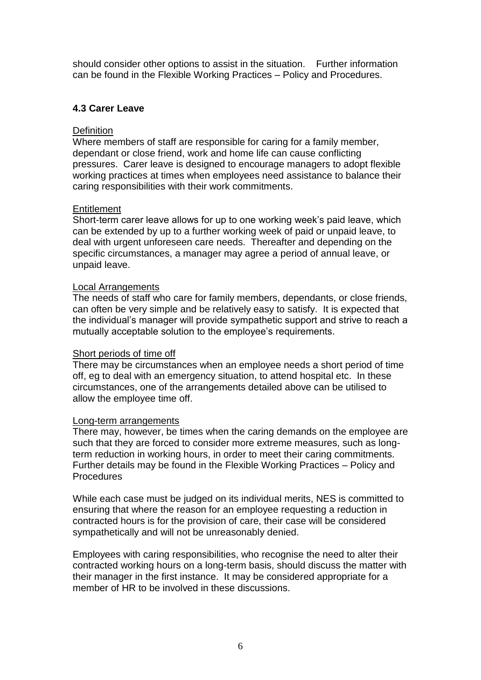should consider other options to assist in the situation. Further information can be found in the Flexible Working Practices – Policy and Procedures.

### **4.3 Carer Leave**

#### **Definition**

Where members of staff are responsible for caring for a family member, dependant or close friend, work and home life can cause conflicting pressures. Carer leave is designed to encourage managers to adopt flexible working practices at times when employees need assistance to balance their caring responsibilities with their work commitments.

#### **Entitlement**

Short-term carer leave allows for up to one working week's paid leave, which can be extended by up to a further working week of paid or unpaid leave, to deal with urgent unforeseen care needs. Thereafter and depending on the specific circumstances, a manager may agree a period of annual leave, or unpaid leave.

#### Local Arrangements

The needs of staff who care for family members, dependants, or close friends, can often be very simple and be relatively easy to satisfy. It is expected that the individual's manager will provide sympathetic support and strive to reach a mutually acceptable solution to the employee's requirements.

#### Short periods of time off

There may be circumstances when an employee needs a short period of time off, eg to deal with an emergency situation, to attend hospital etc. In these circumstances, one of the arrangements detailed above can be utilised to allow the employee time off.

#### Long-term arrangements

There may, however, be times when the caring demands on the employee are such that they are forced to consider more extreme measures, such as longterm reduction in working hours, in order to meet their caring commitments. Further details may be found in the Flexible Working Practices – Policy and **Procedures** 

While each case must be judged on its individual merits, NES is committed to ensuring that where the reason for an employee requesting a reduction in contracted hours is for the provision of care, their case will be considered sympathetically and will not be unreasonably denied.

Employees with caring responsibilities, who recognise the need to alter their contracted working hours on a long-term basis, should discuss the matter with their manager in the first instance. It may be considered appropriate for a member of HR to be involved in these discussions.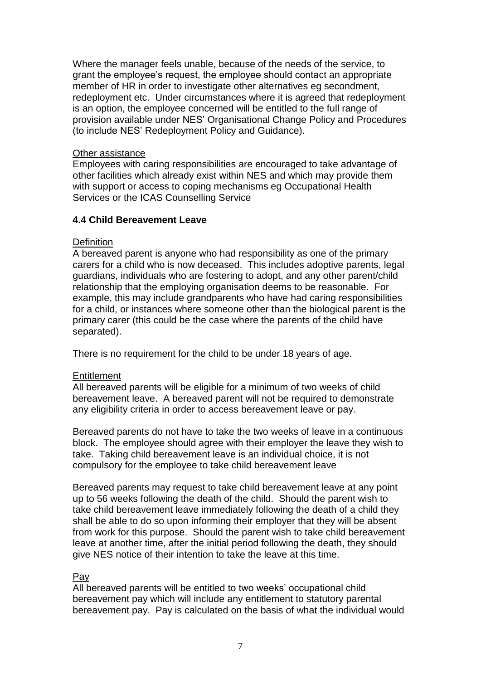Where the manager feels unable, because of the needs of the service, to grant the employee's request, the employee should contact an appropriate member of HR in order to investigate other alternatives eg secondment, redeployment etc. Under circumstances where it is agreed that redeployment is an option, the employee concerned will be entitled to the full range of provision available under NES' Organisational Change Policy and Procedures (to include NES' Redeployment Policy and Guidance).

#### Other assistance

Employees with caring responsibilities are encouraged to take advantage of other facilities which already exist within NES and which may provide them with support or access to coping mechanisms eg Occupational Health Services or the ICAS Counselling Service

### **4.4 Child Bereavement Leave**

### **Definition**

A bereaved parent is anyone who had responsibility as one of the primary carers for a child who is now deceased. This includes adoptive parents, legal guardians, individuals who are fostering to adopt, and any other parent/child relationship that the employing organisation deems to be reasonable. For example, this may include grandparents who have had caring responsibilities for a child, or instances where someone other than the biological parent is the primary carer (this could be the case where the parents of the child have separated).

There is no requirement for the child to be under 18 years of age.

### **Entitlement**

All bereaved parents will be eligible for a minimum of two weeks of child bereavement leave. A bereaved parent will not be required to demonstrate any eligibility criteria in order to access bereavement leave or pay.

Bereaved parents do not have to take the two weeks of leave in a continuous block. The employee should agree with their employer the leave they wish to take. Taking child bereavement leave is an individual choice, it is not compulsory for the employee to take child bereavement leave

Bereaved parents may request to take child bereavement leave at any point up to 56 weeks following the death of the child. Should the parent wish to take child bereavement leave immediately following the death of a child they shall be able to do so upon informing their employer that they will be absent from work for this purpose. Should the parent wish to take child bereavement leave at another time, after the initial period following the death, they should give NES notice of their intention to take the leave at this time.

### Pay

All bereaved parents will be entitled to two weeks' occupational child bereavement pay which will include any entitlement to statutory parental bereavement pay. Pay is calculated on the basis of what the individual would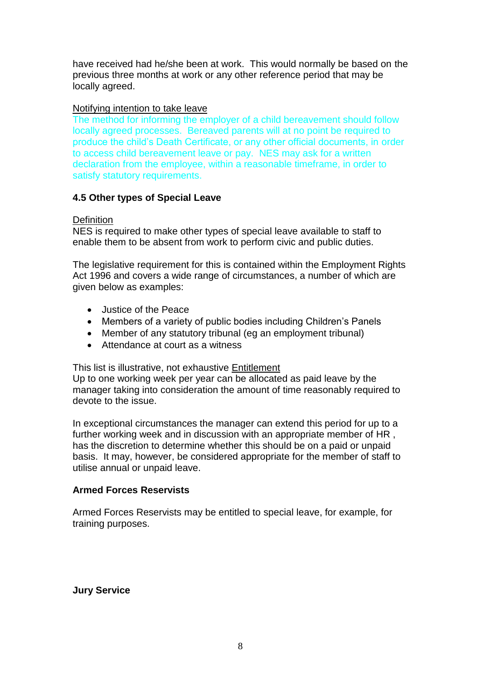have received had he/she been at work. This would normally be based on the previous three months at work or any other reference period that may be locally agreed.

#### Notifying intention to take leave

The method for informing the employer of a child bereavement should follow locally agreed processes. Bereaved parents will at no point be required to produce the child's Death Certificate, or any other official documents, in order to access child bereavement leave or pay. NES may ask for a written declaration from the employee, within a reasonable timeframe, in order to satisfy statutory requirements.

### **4.5 Other types of Special Leave**

#### **Definition**

NES is required to make other types of special leave available to staff to enable them to be absent from work to perform civic and public duties.

The legislative requirement for this is contained within the Employment Rights Act 1996 and covers a wide range of circumstances, a number of which are given below as examples:

- Justice of the Peace
- Members of a variety of public bodies including Children's Panels
- Member of any statutory tribunal (eq an employment tribunal)
- Attendance at court as a witness

This list is illustrative, not exhaustive Entitlement

Up to one working week per year can be allocated as paid leave by the manager taking into consideration the amount of time reasonably required to devote to the issue.

In exceptional circumstances the manager can extend this period for up to a further working week and in discussion with an appropriate member of HR , has the discretion to determine whether this should be on a paid or unpaid basis. It may, however, be considered appropriate for the member of staff to utilise annual or unpaid leave.

#### **Armed Forces Reservists**

Armed Forces Reservists may be entitled to special leave, for example, for training purposes.

**Jury Service**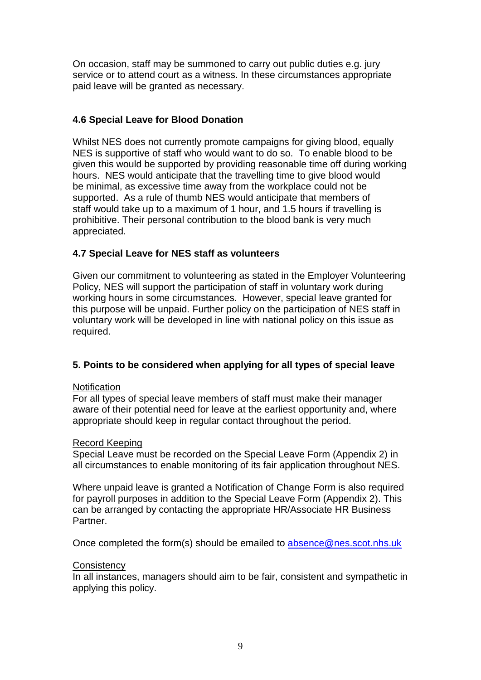On occasion, staff may be summoned to carry out public duties e.g. jury service or to attend court as a witness. In these circumstances appropriate paid leave will be granted as necessary.

### **4.6 Special Leave for Blood Donation**

Whilst NES does not currently promote campaigns for giving blood, equally NES is supportive of staff who would want to do so. To enable blood to be given this would be supported by providing reasonable time off during working hours. NES would anticipate that the travelling time to give blood would be minimal, as excessive time away from the workplace could not be supported. As a rule of thumb NES would anticipate that members of staff would take up to a maximum of 1 hour, and 1.5 hours if travelling is prohibitive. Their personal contribution to the blood bank is very much appreciated.

## **4.7 Special Leave for NES staff as volunteers**

Given our commitment to volunteering as stated in the Employer Volunteering Policy, NES will support the participation of staff in voluntary work during working hours in some circumstances. However, special leave granted for this purpose will be unpaid. Further policy on the participation of NES staff in voluntary work will be developed in line with national policy on this issue as required.

# **5. Points to be considered when applying for all types of special leave**

#### **Notification**

For all types of special leave members of staff must make their manager aware of their potential need for leave at the earliest opportunity and, where appropriate should keep in regular contact throughout the period.

#### Record Keeping

Special Leave must be recorded on the Special Leave Form (Appendix 2) in all circumstances to enable monitoring of its fair application throughout NES.

Where unpaid leave is granted a Notification of Change Form is also required for payroll purposes in addition to the Special Leave Form (Appendix 2). This can be arranged by contacting the appropriate HR/Associate HR Business Partner.

Once completed the form(s) should be emailed to [absence@nes.scot.nhs.uk](mailto:absence@nes.scot.nhs.uk)

#### **Consistency**

In all instances, managers should aim to be fair, consistent and sympathetic in applying this policy.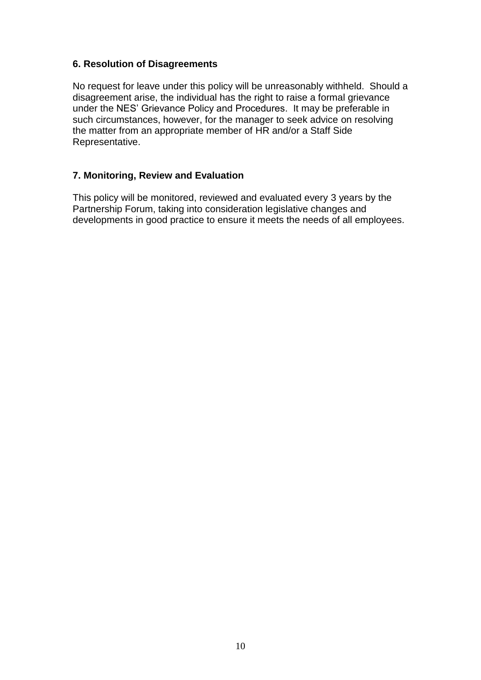### **6. Resolution of Disagreements**

No request for leave under this policy will be unreasonably withheld. Should a disagreement arise, the individual has the right to raise a formal grievance under the NES' Grievance Policy and Procedures. It may be preferable in such circumstances, however, for the manager to seek advice on resolving the matter from an appropriate member of HR and/or a Staff Side Representative.

### **7. Monitoring, Review and Evaluation**

This policy will be monitored, reviewed and evaluated every 3 years by the Partnership Forum, taking into consideration legislative changes and developments in good practice to ensure it meets the needs of all employees.